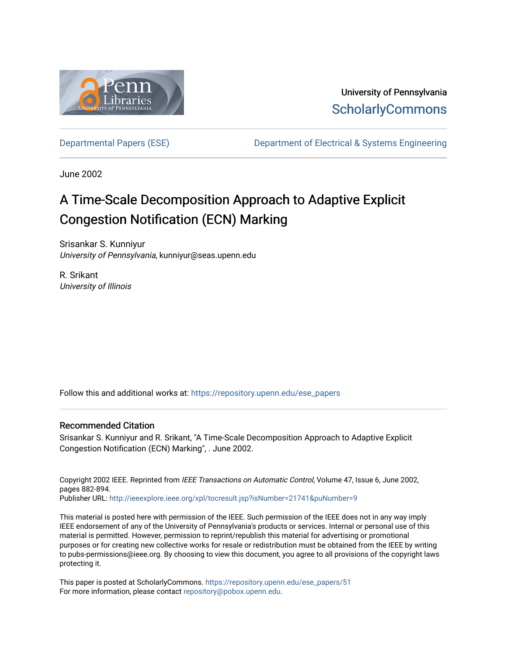

University of Pennsylvania **ScholarlyCommons** 

[Departmental Papers \(ESE\)](https://repository.upenn.edu/ese_papers) [Department of Electrical & Systems Engineering](https://repository.upenn.edu/ese) 

June 2002

# A Time-Scale Decomposition Approach to Adaptive Explicit Congestion Notification (ECN) Marking

Srisankar S. Kunniyur University of Pennsylvania, kunniyur@seas.upenn.edu

R. Srikant University of Illinois

Follow this and additional works at: [https://repository.upenn.edu/ese\\_papers](https://repository.upenn.edu/ese_papers?utm_source=repository.upenn.edu%2Fese_papers%2F51&utm_medium=PDF&utm_campaign=PDFCoverPages)

### Recommended Citation

Srisankar S. Kunniyur and R. Srikant, "A Time-Scale Decomposition Approach to Adaptive Explicit Congestion Notification (ECN) Marking", . June 2002.

Copyright 2002 IEEE. Reprinted from IEEE Transactions on Automatic Control, Volume 47, Issue 6, June 2002, pages 882-894.

Publisher URL:<http://ieeexplore.ieee.org/xpl/tocresult.jsp?isNumber=21741&puNumber=9>

This material is posted here with permission of the IEEE. Such permission of the IEEE does not in any way imply IEEE endorsement of any of the University of Pennsylvania's products or services. Internal or personal use of this material is permitted. However, permission to reprint/republish this material for advertising or promotional purposes or for creating new collective works for resale or redistribution must be obtained from the IEEE by writing to pubs-permissions@ieee.org. By choosing to view this document, you agree to all provisions of the copyright laws protecting it.

This paper is posted at ScholarlyCommons. [https://repository.upenn.edu/ese\\_papers/51](https://repository.upenn.edu/ese_papers/51) For more information, please contact [repository@pobox.upenn.edu.](mailto:repository@pobox.upenn.edu)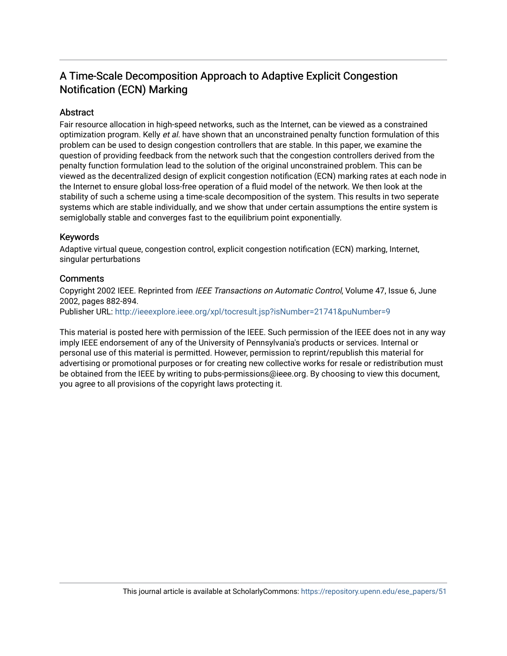# A Time-Scale Decomposition Approach to Adaptive Explicit Congestion Notification (ECN) Marking

# Abstract

Fair resource allocation in high-speed networks, such as the Internet, can be viewed as a constrained optimization program. Kelly et al. have shown that an unconstrained penalty function formulation of this problem can be used to design congestion controllers that are stable. In this paper, we examine the question of providing feedback from the network such that the congestion controllers derived from the penalty function formulation lead to the solution of the original unconstrained problem. This can be viewed as the decentralized design of explicit congestion notification (ECN) marking rates at each node in the Internet to ensure global loss-free operation of a fluid model of the network. We then look at the stability of such a scheme using a time-scale decomposition of the system. This results in two seperate systems which are stable individually, and we show that under certain assumptions the entire system is semiglobally stable and converges fast to the equilibrium point exponentially.

## Keywords

Adaptive virtual queue, congestion control, explicit congestion notification (ECN) marking, Internet, singular perturbations

## **Comments**

Copyright 2002 IEEE. Reprinted from IEEE Transactions on Automatic Control, Volume 47, Issue 6, June 2002, pages 882-894. Publisher URL: <http://ieeexplore.ieee.org/xpl/tocresult.jsp?isNumber=21741&puNumber=9>

This material is posted here with permission of the IEEE. Such permission of the IEEE does not in any way imply IEEE endorsement of any of the University of Pennsylvania's products or services. Internal or personal use of this material is permitted. However, permission to reprint/republish this material for advertising or promotional purposes or for creating new collective works for resale or redistribution must be obtained from the IEEE by writing to pubs-permissions@ieee.org. By choosing to view this document, you agree to all provisions of the copyright laws protecting it.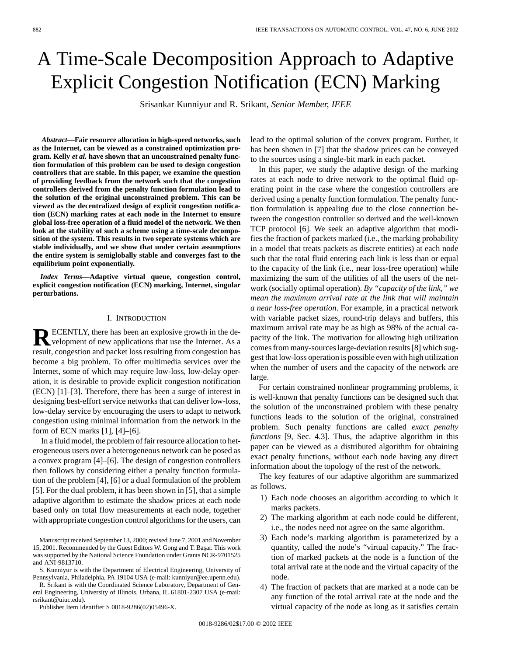# A Time-Scale Decomposition Approach to Adaptive Explicit Congestion Notification (ECN) Marking

Srisankar Kunniyur and R. Srikant*, Senior Member, IEEE*

*Abstract—***Fair resource allocation in high-speed networks, such as the Internet, can be viewed as a constrained optimization program. Kelly** *et al.* **have shown that an unconstrained penalty function formulation of this problem can be used to design congestion controllers that are stable. In this paper, we examine the question of providing feedback from the network such that the congestion controllers derived from the penalty function formulation lead to the solution of the original unconstrained problem. This can be viewed as the decentralized design of explicit congestion notification (ECN) marking rates at each node in the Internet to ensure global loss-free operation of a fluid model of the network. We then look at the stability of such a scheme using a time-scale decomposition of the system. This results in two seperate systems which are stable individually, and we show that under certain assumptions the entire system is semiglobally stable and converges fast to the equilibrium point exponentially.**

*Index Terms—***Adaptive virtual queue, congestion control, explicit congestion notification (ECN) marking, Internet, singular perturbations.**

#### I. INTRODUCTION

**RECENTLY**, there has been an explosive growth in the development of new applications that use the Internet. As a result, congestion and packet loss resulting from congestion has become a big problem. To offer multimedia services over the Internet, some of which may require low-loss, low-delay operation, it is desirable to provide explicit congestion notification (ECN) [1]–[3]. Therefore, there has been a surge of interest in designing best-effort service networks that can deliver low-loss, low-delay service by encouraging the users to adapt to network congestion using minimal information from the network in the form of ECN marks [1], [4]–[6].

In a fluid model, the problem of fair resource allocation to heterogeneous users over a heterogeneous network can be posed as a convex program [4]–[6]. The design of congestion controllers then follows by considering either a penalty function formulation of the problem [4], [6] or a dual formulation of the problem [5]. For the dual problem, it has been shown in [5], that a simple adaptive algorithm to estimate the shadow prices at each node based only on total flow measurements at each node, together with appropriate congestion control algorithms for the users, can

S. Kunniyur is with the Department of Electrical Engineering, University of Pennsylvania, Philadelphia, PA 19104 USA (e-mail: kunniyur@ee.upenn.edu).

R. Srikant is with the Coordinated Science Laboratory, Department of General Engineering, University of Illinois, Urbana, IL 61801-2307 USA (e-mail: rsrikant@uiuc.edu).

Publisher Item Identifier S 0018-9286(02)05496-X.

lead to the optimal solution of the convex program. Further, it has been shown in [7] that the shadow prices can be conveyed to the sources using a single-bit mark in each packet.

In this paper, we study the adaptive design of the marking rates at each node to drive network to the optimal fluid operating point in the case where the congestion controllers are derived using a penalty function formulation. The penalty function formulation is appealing due to the close connection between the congestion controller so derived and the well-known TCP protocol [6]. We seek an adaptive algorithm that modifies the fraction of packets marked (i.e., the marking probability in a model that treats packets as discrete entities) at each node such that the total fluid entering each link is less than or equal to the capacity of the link (i.e., near loss-free operation) while maximizing the sum of the utilities of all the users of the network (socially optimal operation). *By "capacity of the link," we mean the maximum arrival rate at the link that will maintain a near loss-free operation*. For example, in a practical network with variable packet sizes, round-trip delays and buffers, this maximum arrival rate may be as high as 98% of the actual capacity of the link. The motivation for allowing high utilization comes from many-sources large-deviation results [8] which suggest that low-loss operation is possible even with high utilization when the number of users and the capacity of the network are large.

For certain constrained nonlinear programming problems, it is well-known that penalty functions can be designed such that the solution of the unconstrained problem with these penalty functions leads to the solution of the original, constrained problem. Such penalty functions are called *exact penalty functions* [9, Sec. 4.3]. Thus, the adaptive algorithm in this paper can be viewed as a distributed algorithm for obtaining exact penalty functions, without each node having any direct information about the topology of the rest of the network.

The key features of our adaptive algorithm are summarized as follows.

- 1) Each node chooses an algorithm according to which it marks packets.
- 2) The marking algorithm at each node could be different, i.e., the nodes need not agree on the same algorithm.
- 3) Each node's marking algorithm is parameterized by a quantity, called the node's "virtual capacity." The fraction of marked packets at the node is a function of the total arrival rate at the node and the virtual capacity of the node.
- 4) The fraction of packets that are marked at a node can be any function of the total arrival rate at the node and the virtual capacity of the node as long as it satisfies certain

Manuscript received September 13, 2000; revised June 7, 2001 and November 15, 2001. Recommended by the Guest Editors W. Gong and T. Başar. This work was supported by the National Science Foundation under Grants NCR-9701525 and ANI-9813710.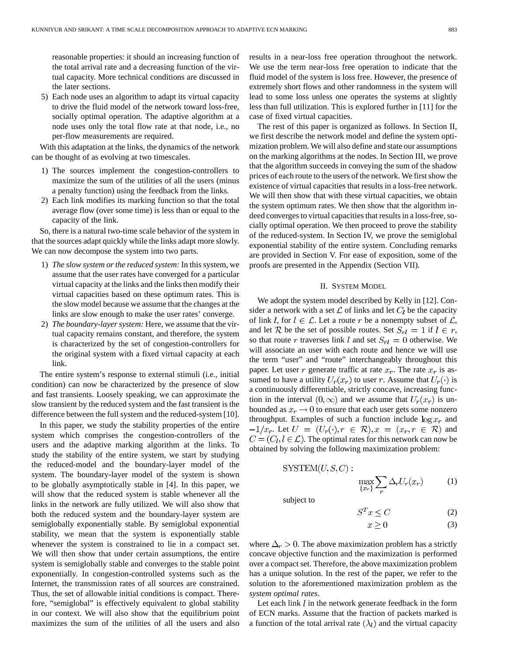reasonable properties: it should an increasing function of the total arrival rate and a decreasing function of the virtual capacity. More technical conditions are discussed in the later sections.

5) Each node uses an algorithm to adapt its virtual capacity to drive the fluid model of the network toward loss-free, socially optimal operation. The adaptive algorithm at a node uses only the total flow rate at that node, i.e., no per-flow measurements are required.

With this adaptation at the links, the dynamics of the network can be thought of as evolving at two timescales.

- 1) The sources implement the congestion-controllers to maximize the sum of the utilities of all the users (minus a penalty function) using the feedback from the links.
- 2) Each link modifies its marking function so that the total average flow (over some time) is less than or equal to the capacity of the link.

So, there is a natural two-time scale behavior of the system in that the sources adapt quickly while the links adapt more slowly. We can now decompose the system into two parts.

- 1) *The slow system or the reduced system:* In this system, we assume that the user rates have converged for a particular virtual capacity at the links and the links then modify their virtual capacities based on these optimum rates. This is the slow model because we assume that the changes at the links are slow enough to make the user rates' converge.
- 2) *The boundary-layer system:* Here, we assume that the virtual capacity remains constant, and therefore, the system is characterized by the set of congestion-controllers for the original system with a fixed virtual capacity at each link.

The entire system's response to external stimuli (i.e., initial condition) can now be characterized by the presence of slow and fast transients. Loosely speaking, we can approximate the slow transient by the reduced system and the fast transient is the difference between the full system and the reduced-system [10].

In this paper, we study the stability properties of the entire system which comprises the congestion-controllers of the users and the adaptive marking algorithm at the links. To study the stability of the entire system, we start by studying the reduced-model and the boundary-layer model of the system. The boundary-layer model of the system is shown to be globally asymptotically stable in [4]. In this paper, we will show that the reduced system is stable whenever all the links in the network are fully utilized. We will also show that both the reduced system and the boundary-layer system are semiglobally exponentially stable. By semiglobal exponential stability, we mean that the system is exponentially stable whenever the system is constrained to lie in a compact set. We will then show that under certain assumptions, the entire system is semiglobally stable and converges to the stable point exponentially. In congestion-controlled systems such as the Internet, the transmission rates of all sources are constrained. Thus, the set of allowable initial conditions is compact. Therefore, "semiglobal" is effectively equivalent to global stability in our context. We will also show that the equilibrium point maximizes the sum of the utilities of all the users and also results in a near-loss free operation throughout the network. We use the term near-loss free operation to indicate that the fluid model of the system is loss free. However, the presence of extremely short flows and other randomness in the system will lead to some loss unless one operates the systems at slightly less than full utilization. This is explored further in [11] for the case of fixed virtual capacities.

The rest of this paper is organized as follows. In Section II, we first describe the network model and define the system optimization problem. We will also define and state our assumptions on the marking algorithms at the nodes. In Section III, we prove that the algorithm succeeds in conveying the sum of the shadow prices of each route to the users of the network. We first show the existence of virtual capacities that results in a loss-free network. We will then show that with these virtual capacities, we obtain the system optimum rates. We then show that the algorithm indeed converges to virtual capacities that results in a loss-free, socially optimal operation. We then proceed to prove the stability of the reduced-system. In Section IV, we prove the semiglobal exponential stability of the entire system. Concluding remarks are provided in Section V. For ease of exposition, some of the proofs are presented in the Appendix (Section VII).

#### II. SYSTEM MODEL

We adopt the system model described by Kelly in [12]. Consider a network with a set  $\mathcal L$  of links and let  $C_l$  be the capacity of link l, for  $l \in \mathcal{L}$ . Let a route r be a nonempty subset of  $\mathcal{L}$ , and let R be the set of possible routes. Set  $S_{rl} = 1$  if  $l \in r$ , so that route r traverses link l and set  $S_{rl} = 0$  otherwise. We will associate an user with each route and hence we will use the term "user" and "route" interchangeably throughout this paper. Let user r generate traffic at rate  $x_r$ . The rate  $x_r$  is assumed to have a utility  $U_r(x_r)$  to user r. Assume that  $U_r(\cdot)$  is a continuously differentiable, strictly concave, increasing function in the interval  $(0, \infty)$  and we assume that  $U_r(x_r)$  is unbounded as  $x_r \to 0$  to ensure that each user gets some nonzero throughput. Examples of such a function include  $\log x_r$  and  $-1/x_r$ . Let  $U = (U_r(\cdot), r \in \mathcal{R}), x = (x_r, r \in \mathcal{R})$  and  $C = (C_l, l \in \mathcal{L})$ . The optimal rates for this network can now be obtained by solving the following maximization problem:

$$
SYSTEM(U, S, C): \max_{\{x_r\}} \sum \Delta_r U_r(x_r) \tag{1}
$$

subject to

$$
S^T x \le C \tag{2}
$$

$$
x \ge 0 \tag{3}
$$

where  $\Delta_r > 0$ . The above maximization problem has a strictly concave objective function and the maximization is performed over a compact set. Therefore, the above maximization problem has a unique solution. In the rest of the paper, we refer to the solution to the aforementioned maximization problem as the *system optimal rates*.

Let each link  $l$  in the network generate feedback in the form of ECN marks. Assume that the fraction of packets marked is a function of the total arrival rate  $(\lambda_l)$  and the virtual capacity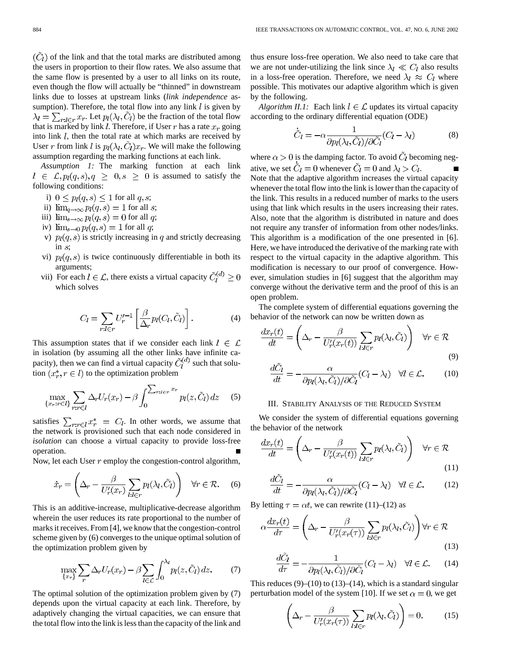$(\hat{C}_l)$  of the link and that the total marks are distributed among the users in proportion to their flow rates. We also assume that the same flow is presented by a user to all links on its route, even though the flow will actually be "thinned" in downstream links due to losses at upstream links (*link independence* assumption). Therefore, the total flow into any link  $l$  is given by  $\lambda_l = \sum_{r:l \in r} x_r$ . Let  $p_l(\lambda_l, \tilde{C}_l)$  be the fraction of the total flow that is marked by link  $l$ . Therefore, if User  $r$  has a rate  $x_r$  going into link  $l$ , then the total rate at which marks are received by User r from link l is  $p_l(\lambda_l, C_l)x_r$ . We will make the following assumption regarding the marking functions at each link.

*Assumption 1:* The marking function at each link  $i \in \mathcal{L}, p_l(q, s), q \geq 0, s \geq 0$  is assumed to satisfy the following conditions:

- i)  $0 \leq p_l(q,s) \leq 1$  for all  $q,s$ ;
- ii)  $\lim_{q\to\infty} p_l(q,s) = 1$  for all s;
- iii)  $\lim_{s\to\infty} p_l(q,s) = 0$  for all q;
- iv)  $\lim_{s\to 0} p_l(q,s) = 1$  for all q;
- v)  $p_l(q, s)$  is strictly increasing in q and strictly decreasing in  $s$ ;
- vi)  $p_l(q, s)$  is twice continuously differentiable in both its arguments;
- vii) For each  $l \in \mathcal{L}$ , there exists a virtual capacity  $\tilde{C}_l^{(d)} \geq 0$ which solves

$$
C_l = \sum_{r:l \in r} U_r'^{-1} \left[ \frac{\beta}{\Delta_r} p_l(C_l, \tilde{C}_l) \right]. \tag{4}
$$

This assumption states that if we consider each link  $l \in \mathcal{L}$ in isolation (by assuming all the other links have infinite capacity), then we can find a virtual capacity  $\tilde{C}_{l}^{(d)}$  such that solution  $(x_r^*, r \in l)$  to the optimization problem

$$
\max_{\{x_r : r \in l\}} \sum_{r: r \in l} \Delta_r U_r(x_r) - \beta \int_0^{\sum_{r: l \in r} x_r} p_l(z, \tilde{C}_l) dz \quad (5)
$$

satisfies  $\sum_{r:r\in l} x_r^* = C_l$ . In other words, we assume that the network is provisioned such that each node considered in *isolation* can choose a virtual capacity to provide loss-free operation.

Now, let each User  $r$  employ the congestion-control algorithm,

$$
\dot{x}_r = \left(\Delta_r - \frac{\beta}{U_r'(x_r)} \sum_{l:l \in r} p_l(\lambda_l, \tilde{C}_l) \right) \quad \forall r \in \mathcal{R}.\tag{6}
$$

This is an additive-increase, multiplicative-decrease algorithm wherein the user reduces its rate proportional to the number of marks it receives. From [4], we know that the congestion-control scheme given by (6) converges to the unique optimal solution of the optimization problem given by

$$
\max_{\{x_r\}} \sum_r \Delta_r U_r(x_r) - \beta \sum_{l \in \mathcal{L}} \int_0^{\lambda_l} p_l(z, \tilde{C}_l) dz. \tag{7}
$$

The optimal solution of the optimization problem given by (7) depends upon the virtual capacity at each link. Therefore, by adaptively changing the virtual capacities, we can ensure that the total flow into the link is less than the capacity of the link and thus ensure loss-free operation. We also need to take care that we are not under-utilizing the link since  $\lambda_l \ll C_l$  also results in a loss-free operation. Therefore, we need  $\lambda_l \approx C_l$  where possible. This motivates our adaptive algorithm which is given by the following.

*Algorithm II.1:* Each link  $l \in \mathcal{L}$  updates its virtual capacity according to the ordinary differential equation (ODE)

$$
\dot{\tilde{C}}_l = -\alpha \frac{1}{\partial p_l(\lambda_l, \tilde{C}_l)/\partial \tilde{C}_l} (C_l - \lambda_l)
$$
(8)

where  $\alpha > 0$  is the damping factor. To avoid  $\tilde{C}_l$  becoming negative, we set  $\tilde{C}_l = 0$  whenever  $\tilde{C}_l = 0$  and  $\lambda_l > C_l$ . Note that the adaptive algorithm increases the virtual capacity whenever the total flow into the link is lower than the capacity of the link. This results in a reduced number of marks to the users using that link which results in the users increasing their rates. Also, note that the algorithm is distributed in nature and does not require any transfer of information from other nodes/links. This algorithm is a modification of the one presented in [6]. Here, we have introduced the derivative of the marking rate with respect to the virtual capacity in the adaptive algorithm. This modification is necessary to our proof of convergence. However, simulation studies in [6] suggest that the algorithm may converge without the derivative term and the proof of this is an open problem.

The complete system of differential equations governing the behavior of the network can now be written down as

$$
\frac{dx_r(t)}{dt} = \left(\Delta_r - \frac{\beta}{U'_r(x_r(t))} \sum_{l:l \in r} p_l(\lambda_l, \tilde{C}_l) \right) \quad \forall r \in \mathcal{R}
$$
\n(9)

$$
\frac{d\tilde{C}_l}{dt} = -\frac{\alpha}{\partial p_l(\lambda_l, \tilde{C}_l)/\partial \tilde{C}_l} (C_l - \lambda_l) \quad \forall l \in \mathcal{L}.
$$
 (10)

#### III. STABILITY ANALYSIS OF THE REDUCED SYSTEM

We consider the system of differential equations governing the behavior of the network

$$
\frac{dx_r(t)}{dt} = \left(\Delta_r - \frac{\beta}{U_r'(x_r(t))} \sum_{l:l \in r} p_l(\lambda_l, \tilde{C}_l) \right) \quad \forall r \in \mathcal{R}
$$
\n(11)

$$
\frac{dC_l}{dt} = -\frac{\alpha}{\partial p_l(\lambda_l, \tilde{C}_l)/\partial \tilde{C}_l} (C_l - \lambda_l) \quad \forall l \in \mathcal{L}.
$$
 (12)

By letting  $\tau = \alpha t$ , we can rewrite (11)–(12) as

$$
\alpha \frac{dx_r(t)}{d\tau} = \left(\Delta_r - \frac{\beta}{U'_r(x_r(\tau))} \sum_{l:l \in r} p_l(\lambda_l, \tilde{C}_l) \right) \forall r \in \mathcal{R}
$$
\n(13)

$$
\frac{dC_l}{d\tau} = -\frac{1}{\partial p_l(\lambda_l, \tilde{C}_l)/\partial \tilde{C}_l} (C_l - \lambda_l) \quad \forall l \in \mathcal{L}.
$$
 (14)

This reduces  $(9)$ – $(10)$  to  $(13)$ – $(14)$ , which is a standard singular perturbation model of the system [10]. If we set  $\alpha = 0$ , we get

$$
\left(\Delta_r - \frac{\beta}{U_r'(x_r(\tau))} \sum_{l:l \in r} p_l(\lambda_l, \tilde{C}_l)\right) = 0. \tag{15}
$$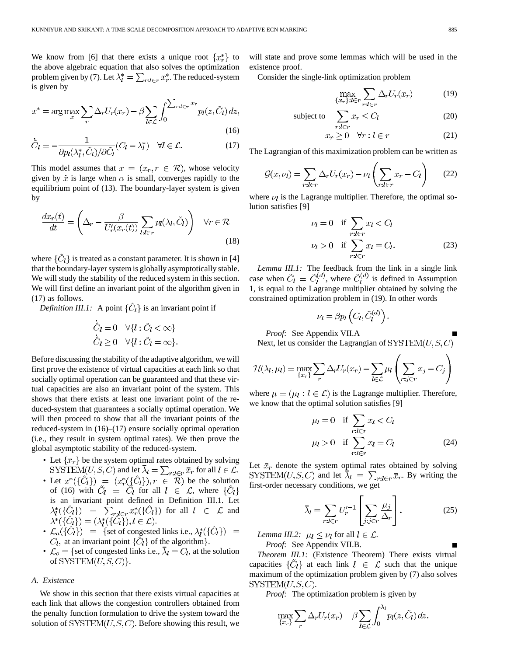We know from [6] that there exists a unique root  $\{x_r^*\}$  to the above algebraic equation that also solves the optimization problem given by (7). Let  $\lambda_l^* = \sum_{r:l \in r} x_r^*$ . The reduced-system is given by

$$
x^* = \arg\max_{x} \sum_{r} \Delta_r U_r(x_r) - \beta \sum_{l \in \mathcal{L}} \int_0^{\sum_{r:l \in r} x_r} p_l(z, \tilde{C}_l) dz,
$$
\n(16)

$$
\dot{\tilde{C}}_l = -\frac{1}{\partial p_l(\lambda_l^*, \tilde{C}_l)/\partial \tilde{C}_l} (C_l - \lambda_l^*) \quad \forall l \in \mathcal{L}.
$$
\n(17)

This model assumes that  $x = (x_r, r \in \mathcal{R})$ , whose velocity given by  $\dot{x}$  is large when  $\alpha$  is small, converges rapidly to the equilibrium point of (13). The boundary-layer system is given by

$$
\frac{dx_r(t)}{dt} = \left(\Delta_r - \frac{\beta}{U_r'(x_r(t))} \sum_{l:l \in r} p_l(\lambda_l, \tilde{C}_l) \right) \quad \forall r \in \mathcal{R}
$$
\n(18)

where  $\{\tilde{C}_l\}$  is treated as a constant parameter. It is shown in [4] that the boundary-layer system is globally asymptotically stable. We will study the stability of the reduced system in this section. We will first define an invariant point of the algorithm given in (17) as follows.

*Definition III.1:* A point  $\{\hat{C}_l\}$  is an invariant point if

$$
\dot{\hat{C}}_l = 0 \quad \forall \{l : \hat{C}_l < \infty\}
$$
  

$$
\dot{\hat{C}}_l \ge 0 \quad \forall \{l : \hat{C}_l = \infty\}.
$$

Before discussing the stability of the adaptive algorithm, we will first prove the existence of virtual capacities at each link so that socially optimal operation can be guaranteed and that these virtual capacities are also an invariant point of the system. This shows that there exists at least one invariant point of the reduced-system that guarantees a socially optimal operation. We will then proceed to show that all the invariant points of the reduced-system in (16)–(17) ensure socially optimal operation (i.e., they result in system optimal rates). We then prove the global asymptotic stability of the reduced-system.

- Let  $\{\bar{x}_r\}$  be the system optimal rates obtained by solving and let  $\lambda_l = \sum_{r \cdot l \in r} \bar{x}_r$  for all  $l \in \mathcal{L}$ .
- Let  $x^*(\{C_l\}) = (x_r^*(\{C_l\}), r \in \mathcal{R})$  be the solution of (16) with  $C_l = C_l$  for all  $l \in \mathcal{L}$ , where is an invariant point defined in Definition III.1. Let for all  $l \in \mathcal{L}$  and .
- $\mathcal{L}_a({\{\hat{C}_l\}})$  = {set of congested links i.e.,  $\lambda_l^*(\{\hat{C}_l\})$  =  $C_l$ , at an invariant point  $\{\hat{C}_l\}$  of the algorithm.
- $\mathcal{L}_o = \{\text{set of congested links i.e., } \overline{\lambda}_l = C_l, \text{ at the solution }\}$ of  $SYSTEM(U, S, C)$ .

#### *A. Existence*

We show in this section that there exists virtual capacities at each link that allows the congestion controllers obtained from the penalty function formulation to drive the system toward the solution of  $\text{SYSTEM}(U, S, C)$ . Before showing this result, we will state and prove some lemmas which will be used in the existence proof.

Consider the single-link optimization problem

$$
\max_{\{x_r\}:l\in r} \sum_{r:l\in r} \Delta_r U_r(x_r) \tag{19}
$$

subject to 
$$
\sum_{r:l \in r} x_r \leq C_l \tag{20}
$$

$$
x_r \ge 0 \quad \forall r : l \in r \tag{21}
$$

The Lagrangian of this maximization problem can be written as

$$
\mathcal{G}(x,\nu_l) = \sum_{r:l \in r} \Delta_r U_r(x_r) - \nu_l \left( \sum_{r:l \in r} x_r - C_l \right) \tag{22}
$$

where  $\nu_l$  is the Lagrange multiplier. Therefore, the optimal solution satisfies [9]

$$
\nu_l = 0 \quad \text{if } \sum_{r:l \in r} x_l < C_l
$$
\n
$$
\nu_l > 0 \quad \text{if } \sum_{r:l \in r} x_l = C_l. \tag{23}
$$

*Lemma III.1:* The feedback from the link in a single link case when  $\tilde{C}_l = \tilde{C}_l^{(d)}$ , where  $\tilde{C}_l^{(d)}$  is defined in Assumption 1, is equal to the Lagrange multiplier obtained by solving the constrained optimization problem in (19). In other words

$$
\nu_l = \beta p_l \left( C_l, \tilde{C}_l^{(d)} \right).
$$

*Proof:* See Appendix VII.A Next, let us consider the Lagrangian of  $\text{SYSTEM}(U, S, C)$ 

$$
\mathcal{H}(\lambda_l, \mu_l) = \max_{\{x_r\}} \sum_r \Delta_r U_r(x_r) - \sum_{l \in \mathcal{L}} \mu_l \left( \sum_{r:j \in r} x_j - C_j \right)
$$

where  $\mu = (\mu_l : l \in \mathcal{L})$  is the Lagrange multiplier. Therefore, we know that the optimal solution satisfies [9]

$$
\mu_l = 0 \quad \text{if } \sum_{r:l \in r} x_l < C_l
$$
\n
$$
\mu_l > 0 \quad \text{if } \sum_{r:l \in r} x_l = C_l \tag{24}
$$

Let  $\bar{x}_r$  denote the system optimal rates obtained by solving SYSTEM $(U, S, C)$  and let  $\bar{\lambda}_l = \sum_{r:l \in r} \bar{x}_{r}$ . By writing the first-order necessary conditions, we get

$$
\bar{\lambda}_l = \sum_{r:l \in r} U_r'^{-1} \left[ \sum_{j:j \in r} \frac{\mu_j}{\Delta_r} \right]. \tag{25}
$$

*Lemma III.2:*  $\mu_l \leq \nu_l$  for all  $l \in \mathcal{L}$ . *Proof:* See Appendix VII.B.

*Theorem III.1:* (Existence Theorem) There exists virtual capacities  $\{\tilde{C}_l\}$  at each link  $l \in \mathcal{L}$  such that the unique maximum of the optimization problem given by (7) also solves SYSTEM $(U, S, C)$ .

*Proof:* The optimization problem is given by

$$
\max_{\{x_r\}} \sum_r \Delta_r U_r(x_r) - \beta \sum_{l \in \mathcal{L}} \int_0^{\lambda_l} p_l(z, \tilde{C}_l) dz.
$$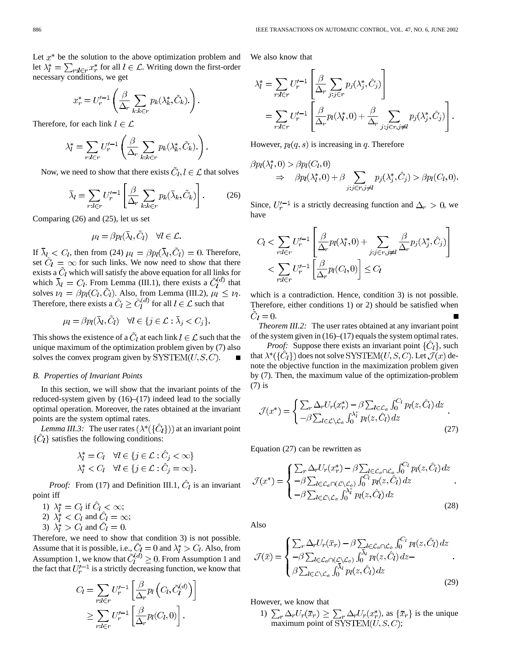Let  $x^*$  be the solution to the above optimization problem and let  $\lambda_l^* = \sum_{r:l \in r} x_r^*$  for all  $l \in \mathcal{L}$ . Writing down the first-order necessary conditions, we get

$$
x_r^* = U_r'^{-1} \left( \frac{\beta}{\Delta_r} \sum_{k:k \in r} p_k(\lambda_k^*, \tilde{C}_k) \right).
$$

Therefore, for each link  $l \in \mathcal{L}$ 

$$
\lambda_l^* = \sum_{r:l \in r} U_r'^{-1} \left( \frac{\beta}{\Delta_r} \sum_{k:k \in r} p_k(\lambda_k^*, \tilde{C}_k) \right).
$$

Now, we need to show that there exists  $\ddot{C}_l, l \in \mathcal{L}$  that solves

$$
\bar{\lambda}_l = \sum_{r:l \in r} U_r'^{-1} \left[ \frac{\beta}{\Delta_r} \sum_{k:k \in r} p_k(\bar{\lambda}_k, \tilde{C}_k) \right].
$$
 (26)

Comparing (26) and (25), let us set

$$
\mu_l = \beta p_l(\bar{\lambda}_l, C_l) \quad \forall l \in \mathcal{L}
$$

If  $\bar{\lambda}_l < C_l$ , then from (24)  $\mu_l = \beta p_l(\bar{\lambda}_l, \tilde{C}_l) = 0$ . Therefore, set  $C_l = \infty$  for such links. We now need to show that there exists a  $\tilde{C}_l$  which will satisfy the above equation for all links for which  $\bar{\lambda}_l = C_l$ . From Lemma (III.1), there exists a  $\tilde{C}_l^{(d)}$  that solves  $\nu_l = \beta p_l(C_l, \tilde{C}_l)$ . Also, from Lemma (III.2),  $\mu_l \leq \nu_l$ . Therefore, there exists a  $\tilde{C}_l \geq \tilde{C}_l^{(d)}$  for all  $l \in \mathcal{L}$  such that

$$
\mu_l = \beta p_l(\bar{\lambda}_l, \tilde{C}_l) \quad \forall l \in \{j \in \mathcal{L} : \bar{\lambda}_j < C_j\}.
$$

This shows the existence of a  $\tilde{C}_l$  at each link  $l \in \mathcal{L}$  such that the unique maximum of the optimization problem given by (7) also solves the convex program given by  $\text{SYSTEM}(U, S, C)$ .

#### *B. Properties of Invariant Points*

In this section, we will show that the invariant points of the reduced-system given by  $(16)$ – $(17)$  indeed lead to the socially optimal operation. Moreover, the rates obtained at the invariant points are the system optimal rates.

*Lemma III.3:* The user rates  $(\lambda^*(\{\hat{C}_l\}))$  at an invariant point  $\{\hat{C}_l\}$  satisfies the following conditions:

$$
\lambda_i^* = C_l \quad \forall l \in \{j \in \mathcal{L} : \hat{C}_j < \infty\}
$$
\n
$$
\lambda_i^* < C_l \quad \forall l \in \{j \in \mathcal{L} : \hat{C}_j = \infty\}.
$$

*Proof:* From (17) and Definition III.1,  $\hat{C}_l$  is an invariant point iff

1) 
$$
\lambda_l^* = C_l
$$
 if  $C_l < \infty$ ;

2) 
$$
\lambda_i^* < C_l
$$
 and  $\hat{C}_l = \infty$ ;

3) 
$$
\lambda_l^* > C_l
$$
 and  $\hat{C}_l = 0$ .

Therefore, we need to show that condition 3) is not possible. Assume that it is possible, i.e.,  $C_l = 0$  and  $\lambda_l^* > C_l$ . Also, from Assumption 1, we know that  $C_l^{(a)} \geq 0$ . From Assumption 1 and the fact that  $U_r'^{-1}$  is a strictly decreasing function, we know that

$$
C_l = \sum_{r:l \in r} U_r'^{-1} \left[ \frac{\beta}{\Delta_r} p_l \left( C_l, \tilde{C}_l^{(d)} \right) \right]
$$
  

$$
\geq \sum_{r:l \in r} U_r'^{-1} \left[ \frac{\beta}{\Delta_r} p_l(C_l, 0) \right].
$$

We also know that

$$
\lambda_l^* = \sum_{r:l \in r} U_r'^{-1} \left[ \frac{\beta}{\Delta_r} \sum_{j:j \in r} p_j(\lambda_j^*, \hat{C}_j) \right]
$$
  
= 
$$
\sum_{r:l \in r} U_r'^{-1} \left[ \frac{\beta}{\Delta_r} p_l(\lambda_l^*, 0) + \frac{\beta}{\Delta_r} \sum_{j:j \in r, j \neq l} p_j(\lambda_j^*, \hat{C}_j) \right].
$$

However,  $p_l(q, s)$  is increasing in q. Therefore

$$
\beta p_l(\lambda_l^*,0) > \beta p_l(C_l,0)
$$
  
\n
$$
\Rightarrow \quad \beta p_l(\lambda_l^*,0) + \beta \sum_{j:j \in r, j \neq l} p_j(\lambda_j^*,\hat{C}_j) > \beta p_l(C_l,0).
$$

Since,  $U_r'^{-1}$  is a strictly decreasing function and  $\Delta_r > 0$ , we have

$$
C_l < \sum_{r:l \in r} U_r'^{-1} \left[ \frac{\beta}{\Delta_r} p_l(\lambda_l^*, 0) + \sum_{j:j \in r, j \neq l} \frac{\beta}{\Delta_r} p_j(\lambda_j^*, \hat{C}_j) \right] \\ < \sum_{r:l \in r} U_r'^{-1} \left[ \frac{\beta}{\Delta_r} p_l(C_l, 0) \right] \leq C_l
$$

which is a contradiction. Hence, condition 3) is not possible. Therefore, either conditions 1) or 2) should be satisfied when  $\tilde{C}_l=0.$ 

*Theorem III.2:* The user rates obtained at any invariant point of the system given in (16)–(17) equals the system optimal rates.

*Proof:* Suppose there exists an invariant point  $\{C_l\}$ , such that  $\lambda^*(\{\hat{C}_l\})$  does not solve SYSTEM $(U, S, C)$ . Let  $\mathcal{J}(x)$  denote the objective function in the maximization problem given by (7). Then, the maximum value of the optimization-problem (7) is

$$
\mathcal{J}(x^*) = \begin{cases} \sum_r \Delta_r U_r(x_r^*) - \beta \sum_{l \in \mathcal{L}_a} \int_0^{C_l} p_l(z, \hat{C}_l) dz \\ -\beta \sum_{l \in \mathcal{L} \setminus \mathcal{L}_a} \int_0^{\lambda_l^*} p_l(z, \hat{C}_l) dz \end{cases}.
$$
\n(27)

Equation (27) can be rewritten as

$$
\mathcal{J}(x^*) = \begin{cases}\n\sum_r \Delta_r U_r(x_r^*) - \beta \sum_{l \in \mathcal{L}_a \cap \mathcal{L}_c} \int_0^{C_l} p_l(z, \hat{C}_l) dz \\
-\beta \sum_{l \in \mathcal{L}_a \cap (\mathcal{L} \setminus \mathcal{L}_c)} \int_0^{C_l} p_l(z, \hat{C}_l) dz \\
-\beta \sum_{l \in \mathcal{L} \setminus \mathcal{L}_a} \int_0^{\lambda_l^*} p_l(z, \hat{C}_l) dz\n\end{cases}.
$$
\n(28)

Also

$$
\mathcal{J}(\bar{x}) = \begin{cases}\n\sum_{r} \Delta_{r} U_{r}(\bar{x}_{r}) - \beta \sum_{l \in \mathcal{L}_{a} \cap \mathcal{L}_{o}} \int_{0}^{C_{l}} p_{l}(z, \hat{C}_{l}) dz \\
-\beta \sum_{l \in \mathcal{L}_{a} \cap (\mathcal{L} \setminus \mathcal{L}_{o})} \int_{0}^{\bar{\lambda}_{l}} p_{l}(z, \hat{C}_{l}) dz - \beta \sum_{l \in \mathcal{L} \setminus \mathcal{L}_{a}} \int_{0}^{\bar{\lambda}_{l}} p_{l}(z, \hat{C}_{l}) dz\n\end{cases}.
$$
\n(29)

However, we know that

1)  $\sum_{r} \Delta_r U_r(\bar{x}_r) \geq \sum_{r} \Delta_r U_r(x_r^*)$ , as  $\{\bar{x}_r\}$  is the unique maximum point of  $\text{SYSTEM}(U, S, C);$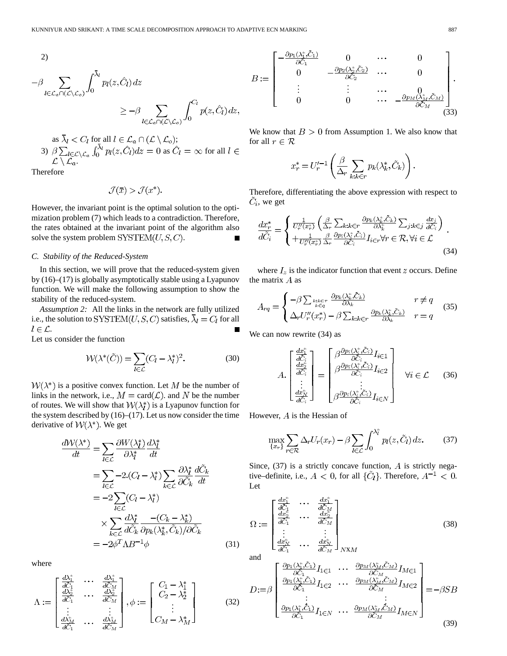2)

$$
-\beta \sum_{l \in \mathcal{L}_a \cap (\mathcal{L} \setminus \mathcal{L}_o)} \int_0^{\bar{\lambda}_l} p_l(z, \hat{C}_l) dz
$$
  

$$
\geq -\beta \sum_{l \in \mathcal{L}_a \cap (\mathcal{L} \setminus \mathcal{L}_o)} \int_0^{C_l} p(z, \hat{C}_l) dz,
$$

as 
$$
\lambda_l < C_l
$$
 for all  $l \in \mathcal{L}_a \cap (\mathcal{L} \setminus \mathcal{L}_o)$ ;  
\n3)  $\beta \sum_{l \in \mathcal{L} \setminus \mathcal{L}_a} \int_0^{\bar{\lambda}_l} p_l(z, \hat{C}_l) dz = 0$  as  $\hat{C}_l = \infty$  for all  $l \in \mathcal{L} \setminus \mathcal{L}_a$ .

Therefore

$$
\mathcal{J}(\bar{x}) > \mathcal{J}(x^*).
$$

However, the invariant point is the optimal solution to the optimization problem (7) which leads to a contradiction. Therefore, the rates obtained at the invariant point of the algorithm also solve the system problem  $\text{SYSTEM}(U, S, C)$ .

#### *C. Stability of the Reduced-System*

In this section, we will prove that the reduced-system given by (16)–(17) is globally asymptotically stable using a Lyapunov function. We will make the following assumption to show the stability of the reduced-system.

*Assumption 2:* All the links in the network are fully utilized i.e., the solution to SYSTEM(U, S, C) satisfies,  $\overline{\lambda}_l = C_l$  for all  $l \in \mathcal{L}$ .

Let us consider the function

$$
\mathcal{W}(\lambda^*(\tilde{C})) = \sum_{l \in \mathcal{L}} (C_l - \lambda_l^*)^2.
$$
 (30)

 $W(\lambda^*)$  is a positive convex function. Let M be the number of links in the network, i.e.,  $M = \text{card}(\mathcal{L})$  and N be the number of routes. We will show that  $W(\lambda_i^*)$  is a Lyapunov function for the system described by  $(16)$ – $(17)$ . Let us now consider the time derivative of  $W(\lambda^*)$ . We get

$$
\frac{d\mathcal{W}(\lambda^{*})}{dt} = \sum_{l \in \mathcal{L}} \frac{\partial W(\lambda_{l}^{*})}{\partial \lambda_{l}^{*}} \frac{d\lambda_{l}^{*}}{dt}
$$
  
\n
$$
= \sum_{l \in \mathcal{L}} -2 \cdot (C_{l} - \lambda_{l}^{*}) \sum_{k \in \mathcal{L}} \frac{\partial \lambda_{l}^{*}}{\partial \tilde{C}_{k}} \frac{d\tilde{C}_{k}}{dt}
$$
  
\n
$$
= -2 \sum_{l \in \mathcal{L}} (C_{l} - \lambda_{l}^{*})
$$
  
\n
$$
\times \sum_{k \in \mathcal{L}} \frac{d\lambda_{l}^{*}}{d\tilde{C}_{k}} \frac{-(C_{k} - \lambda_{k}^{*})}{\partial p_{k}(\lambda_{k}^{*}, \tilde{C}_{k})/\partial \tilde{C}_{k}}
$$
  
\n
$$
= -2\phi^{T} \Lambda B^{-1} \phi
$$
 (31)

where

$$
\Lambda := \begin{bmatrix} \frac{d\lambda_1^*}{dC_1} & \cdots & \frac{d\lambda_1^*}{dC_M} \\ \frac{d\lambda_2^*}{dC_1} & \cdots & \frac{d\lambda_2^*}{dC_M} \\ \vdots & & \vdots \\ \frac{d\lambda_M^*}{dC_1} & \cdots & \frac{d\lambda_M^*}{dC_M} \end{bmatrix}, \phi := \begin{bmatrix} C_1 - \lambda_1^* \\ C_2 - \lambda_2^* \\ \vdots \\ C_M - \lambda_M^* \end{bmatrix}
$$
(32)

$$
B := \begin{bmatrix} -\frac{\partial p_1(\lambda_1^*, \tilde{C}_1)}{\partial \tilde{C}_1} & 0 & \cdots & 0 \\ 0 & -\frac{\partial p_2(\lambda_2^*, \tilde{C}_2)}{\partial \tilde{C}_2} & \cdots & 0 \\ \vdots & \vdots & \cdots & 0 \\ 0 & 0 & \cdots & -\frac{\partial p_M(\lambda_M^*, \tilde{C}_M)}{\partial \tilde{C}_M} \end{bmatrix}.
$$
 (33)

We know that  $B > 0$  from Assumption 1. We also know that for all  $r \in \mathcal{R}$ 

$$
x_r^* = U_r'^{-1}\left(\frac{\beta}{\Delta_r}\sum_{k:k\in r} p_k(\lambda_k^*, \tilde{C}_k)\right).
$$

 $\overline{a}$ 

Therefore, differentiating the above expression with respect to  $\tilde{C}_i$ , we get

$$
\frac{dx_r^*}{d\tilde{C}_i} = \begin{cases} \frac{1}{U_r''(x_r^*)} \left( \frac{\beta}{\Delta_r} \sum_{k:k \in r} \frac{\partial p_k(\lambda_k^*, \tilde{C}_k)}{\partial \lambda_k^*} \sum_{j:k \in j} \frac{dx_j}{d\tilde{C}_i} \right) \\ + \frac{1}{U_r''(x_r^*)} \frac{\beta}{\Delta_r} \frac{\partial p_i(\lambda_k^*, \tilde{C}_i)}{\partial \tilde{C}_i} I_{i \in r} \forall r \in \mathcal{R}, \forall i \in \mathcal{L} \end{cases} . \tag{34}
$$

where  $I_z$  is the indicator function that event z occurs. Define the matrix  $A$  as

$$
A_{rq} = \begin{cases} -\beta \sum_{k: k \in r} \frac{\partial p_k(\lambda_k^*, \tilde{C}_k)}{\partial \lambda_k} & r \neq q \\ \Delta_r U_r''(x_r^*) - \beta \sum_{k: k \in r} \frac{\partial p_k(\lambda_k^*, \tilde{C}_k)}{\partial \lambda_k} & r = q \end{cases} \tag{35}
$$

We can now rewrite (34) as

$$
A. \begin{bmatrix} \frac{dx_1^*}{dC_i} \\ \frac{dx_2^*}{dC_i} \\ \vdots \\ \frac{dx_N^*}{dC_i} \end{bmatrix} = \begin{bmatrix} \beta \frac{\partial p_i(\lambda_i^*, \tilde{C}_i)}{\partial C_i} I_{i \in 1} \\ \beta \frac{\partial p_i(\lambda_i^*, \tilde{C}_i)}{\partial C_i} I_{i \in 2} \\ \vdots \\ \beta \frac{\partial p_i(\lambda_i^*, \tilde{C}_i)}{\partial C_i} I_{i \in N} \end{bmatrix} \quad \forall i \in \mathcal{L} \quad (36)
$$

However,  $A$  is the Hessian of

$$
\max_{\{x_r\}} \sum_{r \in \mathcal{R}} \Delta_r U_r(x_r) - \beta \sum_{l \in \mathcal{L}} \int_0^{\lambda_l^*} p_l(z, \tilde{C}_l) dz.
$$
 (37)

Since,  $(37)$  is a strictly concave function, A is strictly negative–definite, i.e.,  $A < 0$ , for all  $\{\tilde{C}_l\}$ . Therefore,  $A^{-1} < 0$ . Let

$$
\Omega := \begin{bmatrix} \frac{dx_1^*}{d\tilde{C}_1} & \cdots & \frac{dx_1^*}{d\tilde{C}_M} \\ \frac{dx_2^*}{d\tilde{C}_1} & \cdots & \frac{dx_2^*}{d\tilde{C}_M} \\ \vdots & & \vdots \\ \frac{dx_N^*}{d\tilde{C}_1} & \cdots & \frac{dx_N^*}{d\tilde{C}_M} \end{bmatrix}_{NXM}
$$
\n(38)

$$
D := \beta \begin{bmatrix} \frac{\partial p_1(\lambda_1^*, \tilde{C}_1)}{\partial \tilde{C}_1} I_{1 \in 1} & \cdots & \frac{\partial p_M(\lambda_M^*, \tilde{C}_M)}{\partial \tilde{C}_M} I_{M \in 1} \\ \frac{\partial p_1(\lambda_1^*, \tilde{C}_1)}{\partial \tilde{C}_1} I_{1 \in 2} & \cdots & \frac{\partial p_M(\lambda_M^*, \tilde{C}_M)}{\partial \tilde{C}_M} I_{M \in 2} \\ \vdots & & \vdots \\ \frac{\partial p_1(\lambda_1^*, \tilde{C}_1)}{\partial \tilde{C}_1} I_{1 \in N} & \cdots & \frac{\partial p_M(\lambda_M^*, \tilde{C}_M)}{\partial \tilde{C}_M} I_{M \in N} \end{bmatrix} = -\beta SB
$$
\n(39)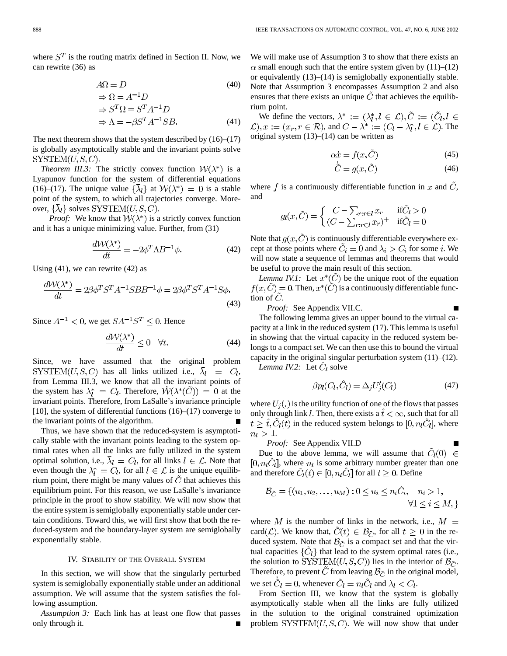where  $S<sup>T</sup>$  is the routing matrix defined in Section II. Now, we can rewrite (36) as

$$
A\Omega = D \tag{40}
$$

$$
\Rightarrow \Omega = A^{-1}D
$$
  
\n
$$
\Rightarrow S^{T}\Omega = S^{T}A^{-1}D
$$
  
\n
$$
\Rightarrow \Lambda = -\beta S^{T}A^{-1}SB.
$$
\n(41)

The next theorem shows that the system described by (16)–(17) is globally asymptotically stable and the invariant points solve  $SYSTEM(U, S, C).$ 

*Theorem III.3:* The strictly convex function  $W(\lambda^*)$  is a Lyapunov function for the system of differential equations (16)–(17). The unique value  $\{\bar{\lambda}_l\}$  at  $\mathcal{W}(\lambda^*) = 0$  is a stable point of the system, to which all trajectories converge. Moreover,  $\{\overline{\lambda}_l\}$  solves SYSTEM $(U, S, C)$ .

*Proof:* We know that  $W(\lambda^*)$  is a strictly convex function and it has a unique minimizing value. Further, from (31)

$$
\frac{d\mathcal{W}(\lambda^*)}{dt} = -2\phi^T \Lambda B^{-1} \phi.
$$
 (42)

Using  $(41)$ , we can rewrite  $(42)$  as

$$
\frac{d\mathcal{W}(\lambda^*)}{dt} = 2\beta\phi^T S^T A^{-1} S B B^{-1} \phi = 2\beta\phi^T S^T A^{-1} S \phi.
$$
\n(43)

Since  $A^{-1}$  < 0, we get  $SA^{-1}S^{T}$  < 0. Hence

$$
\frac{d\mathcal{W}(\lambda^*)}{dt} \le 0 \quad \forall t.
$$
\n(44)

Since, we have assumed that the original problem SYSTEM $(U, S, C)$  has all links utilized i.e.,  $\overline{\lambda}_l = C_l$ , from Lemma III.3, we know that all the invariant points of the system has  $\lambda_l^* = C_l$ . Therefore,  $\dot{W}(\lambda^*(\tilde{C})) = 0$  at the invariant points. Therefore, from LaSalle's invariance principle [10], the system of differential functions (16)–(17) converge to the invariant points of the algorithm.

Thus, we have shown that the reduced-system is asymptotically stable with the invariant points leading to the system optimal rates when all the links are fully utilized in the system optimal solution, i.e.,  $\overline{\lambda}_l = C_l$ , for all links  $l \in \mathcal{L}$ . Note that even though the  $\lambda_l^* = C_l$ , for all  $l \in \mathcal{L}$  is the unique equilibrium point, there might be many values of  $C$  that achieves this equilibrium point. For this reason, we use LaSalle's invariance principle in the proof to show stability. We will now show that the entire system is semiglobally exponentially stable under certain conditions. Toward this, we will first show that both the reduced-system and the boundary-layer system are semiglobally exponentially stable.

#### IV. STABILITY OF THE OVERALL SYSTEM

In this section, we will show that the singularly perturbed system is semiglobally exponentially stable under an additional assumption. We will assume that the system satisfies the following assumption.

*Assumption 3:* Each link has at least one flow that passes only through it.

We will make use of Assumption 3 to show that there exists an  $\alpha$  small enough such that the entire system given by (11)–(12) or equivalently (13)–(14) is semiglobally exponentially stable. Note that Assumption 3 encompasses Assumption 2 and also ensures that there exists an unique  $\tilde{C}$  that achieves the equilibrium point.

We define the vectors,  $\lambda^* := (\lambda_l^*, l \in \mathcal{L}), \tilde{C} := (\tilde{C}_l, l \in \mathcal{L})$  $(\mathcal{L}), x := (x_r, r \in \mathcal{R})$ , and  $C - \lambda^* := (C_l - \lambda_l^*, l \in \mathcal{L})$ . The original system (13)–(14) can be written as

$$
\alpha \dot{x} = f(x, \tilde{C}) \tag{45}
$$

$$
\hat{C} = g(x, \hat{C})\tag{46}
$$

where f is a continuously differentiable function in x and  $\tilde{C}$ , and

$$
g_l(x,\tilde{C}) = \begin{cases} C - \sum_{r:r \in l} x_r & \text{if } \tilde{C}_l > 0\\ (C - \sum_{r:r \in l} x_r)^+ & \text{if } \tilde{C}_l = 0 \end{cases}
$$

Note that  $g(x, C)$  is continuously differentiable everywhere except at those points where  $\tilde{C}_i = 0$  and  $\lambda_i > C_i$  for some *i*. We will now state a sequence of lemmas and theorems that would be useful to prove the main result of this section.

*Lemma IV.1:* Let  $x^*(\tilde{C})$  be the unique root of the equation  $f(x, \tilde{C}) = 0$ . Then,  $x^*(\tilde{C})$  is a continuously differentiable function of  $C$ .

*Proof:* See Appendix VII.C.

The following lemma gives an upper bound to the virtual capacity at a link in the reduced system (17). This lemma is useful in showing that the virtual capacity in the reduced system belongs to a compact set. We can then use this to bound the virtual capacity in the original singular perturbation system  $(11)$ – $(12)$ .

*Lemma IV.2:* Let  $C_l$  solve

$$
\beta p_l(C_l, \hat{C}_l) = \Delta_j U_j'(C_l) \tag{47}
$$

where  $U_i(.)$  is the utility function of one of the flows that passes only through link *l*. Then, there exists a  $\hat{t} < \infty$ , such that for all  $i \geq \hat{t}$ ,  $\tilde{C}_l(t)$  in the reduced system belongs to  $[0, n_l \tilde{C}_l]$ , where  $n_l > 1$ .

*Proof:* See Appendix VII.D

Due to the above lemma, we will assume that  $C_l(0) \in$  $[0, n_l C_l]$ , where  $n_l$  is some arbitrary number greater than one and therefore  $\tilde{C}_l(t) \in [0, n_l \tilde{C}_l]$  for all  $t \geq 0$ . Define

$$
\mathcal{B}_{\tilde{C}} = \{ (u_1, u_2, \dots, u_M) : 0 \le u_i \le n_i \tilde{C}_i, \quad n_i > 1, \forall 1 \le i \le M, \}
$$

where M is the number of links in the network, i.e.,  $M =$ card (*L*). We know that,  $C(t) \in \mathcal{B}_{\tilde{C}}$ , for all  $t \geq 0$  in the reduced system. Note that  $\mathcal{B}_{\tilde{C}}$  is a compact set and that the virtual capacities  $\{\tilde{C}_l\}$  that lead to the system optimal rates (i.e., the solution to SYSTEM $(U, S, C)$ ) lies in the interior of  $\mathcal{B}_{\tilde{C}}$ . Therefore, to prevent  $\tilde{C}$  from leaving  $\mathcal{B}_{\tilde{C}}$  in the original model, we set  $\tilde{C}_l = 0$ , whenever  $\tilde{C}_l = n_l \hat{C}_l$  and  $\lambda_l < C_l$ .

From Section III, we know that the system is globally asymptotically stable when all the links are fully utilized in the solution to the original constrained optimization problem  $\text{SYSTEM}(U, S, C)$ . We will now show that under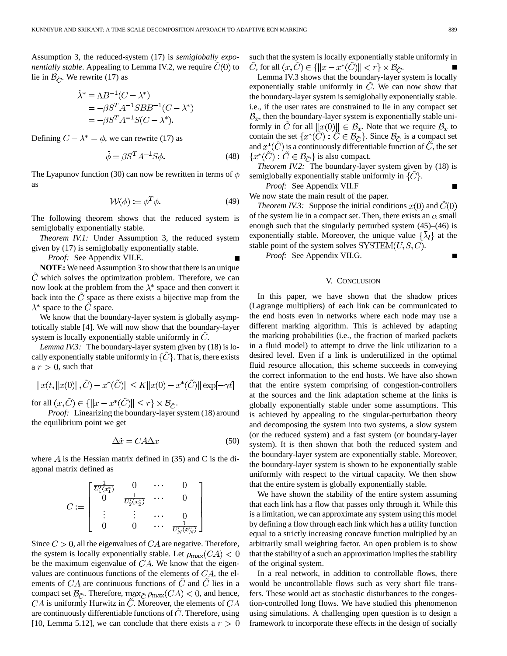Assumption 3, the reduced-system (17) is *semiglobally exponentially stable.* Appealing to Lemma IV.2, we require  $\ddot{C}(0)$  to lie in  $\mathcal{B}_{\tilde{C}}$ . We rewrite (17) as

$$
\dot{\lambda}^* = \Lambda B^{-1} (C - \lambda^*)
$$
  
= -\beta S^T A^{-1} S B B^{-1} (C - \lambda^\*)  
= -\beta S^T A^{-1} S (C - \lambda^\*).

Defining  $C - \lambda^* = \phi$ , we can rewrite (17) as

$$
\dot{\phi} = \beta S^T A^{-1} S \phi.
$$
 (48)

The Lyapunov function (30) can now be rewritten in terms of  $\phi$ as

$$
W(\phi) := \phi^T \phi.
$$
 (49)

The following theorem shows that the reduced system is semiglobally exponentially stable.

*Theorem IV.1:* Under Assumption 3, the reduced system given by (17) is semiglobally exponentially stable.

*Proof:* See Appendix VII.E. **NOTE:** We need Assumption 3 to show that there is an unique  $\hat{C}$  which solves the optimization problem. Therefore, we can now look at the problem from the  $\lambda^*$  space and then convert it

back into the  $\ddot{C}$  space as there exists a bijective map from the  $\lambda^*$  space to the C space. We know that the boundary-layer system is globally asymp-

totically stable [4]. We will now show that the boundary-layer system is locally exponentially stable uniformly in  $\ddot{C}$ .

*Lemma IV.3:* The boundary-layer system given by (18) is locally exponentially stable uniformly in  $\{C\}$ . That is, there exists a  $r > 0$ , such that

$$
||x(t,||x(0)||,\tilde{C})-x^*(\tilde{C})||\leq K||x(0)-x^*(\tilde{C})||\exp[-\gamma t]
$$

for all  $(x, \tilde{C}) \in \{ ||x - x^*(\tilde{C})|| \leq r \} \times \mathcal{B}_{\tilde{C}}.$ 

*Proof:* Linearizing the boundary-layer system (18) around the equilibrium point we get

$$
\Delta \dot{x} = C A \Delta x \tag{50}
$$

where  $\vec{A}$  is the Hessian matrix defined in (35) and C is the diagonal matrix defined as

$$
C:=\left[\begin{array}{cccc} \overline{U_1^1(x_1^*)} & 0 & \cdots & 0 \\ 0 & \overline{U_2^1(x_2^*)} & \cdots & 0 \\ \vdots & \vdots & \cdots & 0 \\ 0 & 0 & \cdots & \overline{U_N^1(x_N^*)} \end{array}\right]
$$

Since  $C > 0$ , all the eigenvalues of  $CA$  are negative. Therefore, the system is locally exponentially stable. Let  $\rho_{\text{max}}(CA) < 0$ be the maximum eigenvalue of  $CA$ . We know that the eigenvalues are continuous functions of the elements of  $CA$ , the elements of  $CA$  are continuous functions of  $\tilde{C}$  and  $\tilde{C}$  lies in a compact set  $\mathcal{B}_{\tilde{C}}$ . Therefore,  $\max_{\tilde{C}} \rho_{\max}(CA) < 0$ , and hence,  $CA$  is uniformly Hurwitz in  $C$ . Moreover, the elements of  $CA$ are continuously differentiable functions of  $\ddot{C}$ . Therefore, using [10, Lemma 5.12], we can conclude that there exists a  $r > 0$  such that the system is locally exponentially stable uniformly in C, for all  $(x, \tilde{C}) \in \{ ||x - x^*(\tilde{C})|| < r \} \times \mathcal{B}_{\tilde{C}}.$ 

Lemma IV.3 shows that the boundary-layer system is locally exponentially stable uniformly in  $\tilde{C}$ . We can now show that the boundary-layer system is semiglobally exponentially stable. i.e., if the user rates are constrained to lie in any compact set  $B_x$ , then the boundary-layer system is exponentially stable uniformly in C for all  $||x(0)|| \in \mathcal{B}_x$ . Note that we require  $\mathcal{B}_x$  to contain the set  $\{x^*(\tilde{C}) : \tilde{C} \in \mathcal{B}_{\tilde{C}}\}$ . Since  $\mathcal{B}_{\tilde{C}}$  is a compact set and  $x^*(C)$  is a continuously differentiable function of  $C$ , the set  $\{x^*(\tilde{C}) : \tilde{C} \in \mathcal{B}_{\tilde{C}}\}$  is also compact.

*Theorem IV.2:* The boundary-layer system given by (18) is semiglobally exponentially stable uniformly in  $\{C\}$ .

*Proof:* See Appendix VII.F

We now state the main result of the paper.

*Theorem IV.3:* Suppose the initial conditions  $x(0)$  and  $C(0)$ of the system lie in a compact set. Then, there exists an  $\alpha$  small enough such that the singularly perturbed system (45)–(46) is exponentially stable. Moreover, the unique value  $\{\lambda_l\}$  at the stable point of the system solves  $\text{SYSTEM}(U, S, C)$ .

*Proof:* See Appendix VII.G.

#### V. CONCLUSION

In this paper, we have shown that the shadow prices (Lagrange multipliers) of each link can be communicated to the end hosts even in networks where each node may use a different marking algorithm. This is achieved by adapting the marking probabilities (i.e., the fraction of marked packets in a fluid model) to attempt to drive the link utilization to a desired level. Even if a link is underutilized in the optimal fluid resource allocation, this scheme succeeds in conveying the correct information to the end hosts. We have also shown that the entire system comprising of congestion-controllers at the sources and the link adaptation scheme at the links is globally exponentially stable under some assumptions. This is achieved by appealing to the singular-perturbation theory and decomposing the system into two systems, a slow system (or the reduced system) and a fast system (or boundary-layer system). It is then shown that both the reduced system and the boundary-layer system are exponentially stable. Moreover, the boundary-layer system is shown to be exponentially stable uniformly with respect to the virtual capacity. We then show that the entire system is globally exponentially stable.

We have shown the stability of the entire system assuming that each link has a flow that passes only through it. While this is a limitation, we can approximate any system using this model by defining a flow through each link which has a utility function equal to a strictly increasing concave function multiplied by an arbitrarily small weighting factor. An open problem is to show that the stability of a such an approximation implies the stability of the original system.

In a real network, in addition to controllable flows, there would be uncontrollable flows such as very short file transfers. These would act as stochastic disturbances to the congestion-controlled long flows. We have studied this phenomenon using simulations. A challenging open question is to design a framework to incorporate these effects in the design of socially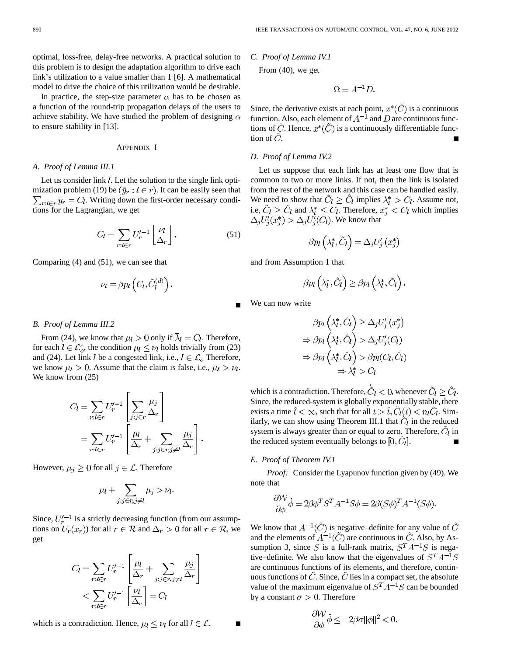optimal, loss-free, delay-free networks. A practical solution to this problem is to design the adaptation algorithm to drive each link's utilization to a value smaller than 1 [6]. A mathematical model to drive the choice of this utilization would be desirable.

In practice, the step-size parameter  $\alpha$  has to be chosen as a function of the round-trip propagation delays of the users to achieve stability. We have studied the problem of designing  $\alpha$ to ensure stability in [13].

#### APPENDIX I

#### *A. Proof of Lemma III.1*

Let us consider link  $l$ . Let the solution to the single link optimization problem (19) be  $(\bar{y}_r : l \in r)$ . It can be easily seen that  $\sum_{r:l\in r} \bar{y}_r = C_l$ . Writing down the first-order necessary conditions for the Lagrangian, we get

$$
C_l = \sum_{r:l \in r} U_r'^{-1} \left[ \frac{\nu_l}{\Delta_r} \right]. \tag{51}
$$

Comparing (4) and (51), we can see that

$$
\nu_l = \beta p_l \left( C_l, \tilde{C}_l^{(d)} \right)
$$

#### *B. Proof of Lemma III.2*

From (24), we know that  $\mu_l > 0$  only if  $\bar{\lambda}_l = C_l$ . Therefore, for each  $l \in \mathcal{L}_{o}^{c}$ , the condition  $\mu_{l} \leq \nu_{l}$  holds trivially from (23) and (24). Let link l be a congested link, i.e.,  $l \in \mathcal{L}_o$  Therefore, we know  $\mu_l > 0$ . Assume that the claim is false, i.e.,  $\mu_l > \nu_l$ . We know from (25)

$$
C_l = \sum_{r:l \in r} U_r'^{-1} \left[ \sum_{j:j \in r} \frac{\mu_j}{\Delta_r} \right]
$$

$$
= \sum_{r:l \in r} U_r'^{-1} \left[ \frac{\mu_l}{\Delta_r} + \sum_{j:j \in r, j \neq l} \frac{\mu_j}{\Delta_r} \right]
$$

However,  $\mu_j \geq 0$  for all  $j \in \mathcal{L}$ . Therefore

$$
\mu_l + \sum_{j:j \in r, j \neq l} \mu_j > \nu_l
$$

Since,  $U_r'^{-1}$  is a strictly decreasing function (from our assumptions on  $U_r(x_r)$  for all  $r \in \mathcal{R}$  and  $\Delta_r > 0$  for all  $r \in \mathcal{R}$ , we get

$$
C_l = \sum_{r:l \in r} U_r'^{-1} \left[ \frac{\mu_l}{\Delta_r} + \sum_{j:j \in r, j \neq l} \frac{\mu_j}{\Delta_r} \right]
$$

$$
< \sum_{r:l \in r} U_r'^{-1} \left[ \frac{\nu_l}{\Delta_r} \right] = C_l
$$

which is a contradiction. Hence,  $\mu_l \leq \nu_l$  for all  $l \in \mathcal{L}$ .

*C. Proof of Lemma IV.1*

From (40), we get

$$
\Omega = A^{-1}D.
$$

Since, the derivative exists at each point,  $x^*(\tilde{C})$  is a continuous function. Also, each element of  $A^{-1}$  and D are continuous functions of  $\tilde{C}$ . Hence,  $x^*(\tilde{C})$  is a continuously differentiable function of  $\dot{C}$ .  $\blacksquare$ 

#### *D. Proof of Lemma IV.2*

Let us suppose that each link has at least one flow that is common to two or more links. If not, then the link is isolated from the rest of the network and this case can be handled easily. We need to show that  $\tilde{C}_l \geq \tilde{C}_l$  implies  $\lambda_l^* > C_l$ . Assume not, i.e,  $\tilde{C}_l \geq \hat{C}_l$  and  $\lambda_l^* \leq C_l$ . Therefore,  $x_i^* < C_l$  which implies  $\Delta_j U_i'(x_i^*) > \Delta_j U_i'(C_l)$ . We know that

$$
\beta p_l\left(\lambda_l^*, \tilde{C}_l\right) = \Delta_j U_j'\left(x_j^*\right)
$$

and from Assumption 1 that

$$
\beta p_l\left(\lambda_l^*,\hat{C}_l\right) \geq \beta p_l\left(\lambda_l^*,\tilde{C}_l\right).
$$

We can now write

$$
\beta p_l\left(\lambda_l^*, \hat{C}_l\right) \geq \Delta_j U_j'\left(x_j^*\right)
$$
\n
$$
\Rightarrow \beta p_l\left(\lambda_l^*, \hat{C}_l\right) > \Delta_j U_j'\left(C_l\right)
$$
\n
$$
\Rightarrow \beta p_l\left(\lambda_l^*, \hat{C}_l\right) > \beta p_l\left(C_l, \hat{C}_l\right)
$$
\n
$$
\Rightarrow \lambda_l^* > C_l
$$

which is a contradiction. Therefore,  $\tilde{C}_l < 0$ , whenever  $\tilde{C}_l \geq \hat{C}_l$ . Since, the reduced-system is globally exponentially stable, there exists a time  $\hat{t} < \infty$ , such that for all  $t > \hat{t}$ ,  $C_l(t) < n_l C_l$ . Similarly, we can show using Theorem III.1 that  $C_l$  in the reduced system is always greater than or equal to zero. Therefore,  $C_l$  in the reduced system eventually belongs to  $[0, C_l]$ .

#### *E. Proof of Theorem IV.1*

*Proof:* Consider the Lyapunov function given by (49). We note that

$$
\frac{\partial \mathcal{W}}{\partial \phi} \dot{\phi} = 2\beta \phi^T S^T A^{-1} S \phi = 2\beta (S\phi)^T A^{-1} (S\phi).
$$

We know that  $A^{-1}(\tilde{C})$  is negative–definite for any value of  $\tilde{C}$ and the elements of  $A^{-1}(\tilde{C})$  are continuous in  $\tilde{C}$ . Also, by Assumption 3, since S is a full-rank matrix,  $S<sup>T</sup>A<sup>-1</sup>S$  is negative–definite. We also know that the eigenvalues of  $S<sup>T</sup>A<sup>-1</sup>S$ are continuous functions of its elements, and therefore, continuous functions of  $\hat{C}$ . Since,  $\hat{C}$  lies in a compact set, the absolute value of the maximum eigenvalue of  $S<sup>T</sup>A<sup>-1</sup>S$  can be bounded by a constant  $\sigma > 0$ . Therefore

$$
\frac{\partial \mathcal{W}}{\partial \phi}\dot{\phi} \le -2\beta\sigma ||\phi||^2 < 0
$$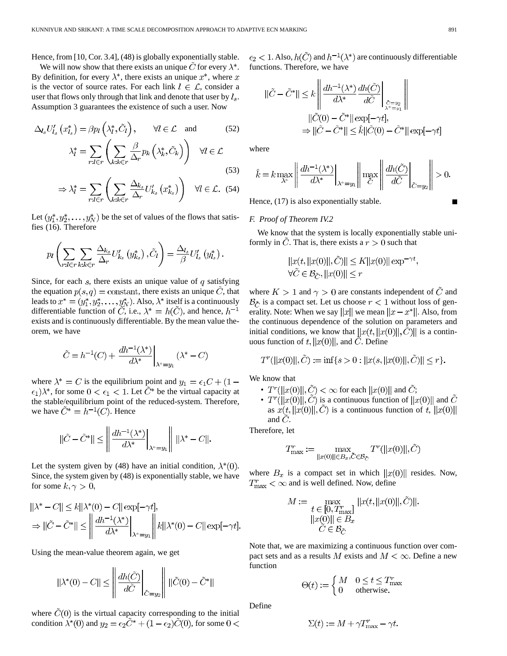Hence, from [10, Cor. 3.4], (48) is globally exponentially stable.

We will now show that there exists an unique  $\ddot{C}$  for every  $\lambda^*$ . By definition, for every  $\lambda^*$ , there exists an unique  $x^*$ , where  $x$ is the vector of source rates. For each link  $l \in \mathcal{L}$ , consider a user that flows only through that link and denote that user by  $l_s$ . Assumption 3 guarantees the existence of such a user. Now

$$
\Delta_{l_s} U'_{l_s} (x^*_{l_s}) = \beta p_l \left(\lambda^*_{l}, \tilde{C}_l\right), \qquad \forall l \in \mathcal{L} \text{ and } (52)
$$

$$
\lambda^*_{l} = \sum_{r:l \in r} \left(\sum_{k:k \in r} \frac{\beta}{\Delta_r} p_k \left(\lambda^*_{k}, \tilde{C}_k\right)\right) \quad \forall l \in \mathcal{L}
$$
(53)

$$
\Rightarrow \lambda_l^* = \sum_{r:l \in r} \left( \sum_{k:k \in r} \frac{\Delta_{k_s}}{\Delta_r} U'_{k_s} \left( x^*_{k_s} \right) \right) \quad \forall l \in \mathcal{L}. \tag{54}
$$

Let  $(y_1^*, y_2^*, \ldots, y_N^*)$  be the set of values of the flows that satisfies (16). Therefore

$$
p_l\left(\sum_{r:l\in r}\sum_{k:k\in r}\frac{\Delta_{k_s}}{\Delta_r}U'_{k_s}\left(y^*_{k_s}\right),\tilde{C}_l\right)=\frac{\Delta_{l_s}}{\beta}U'_{l_s}\left(y^*_{l_s}\right).
$$

Since, for each  $s$ , there exists an unique value of  $q$  satisfying the equation  $p(s, q) =$  constant, there exists an unique C, that leads to  $x^* = (y_1^*, y_2^*, \dots, y_N^*)$ . Also,  $\lambda^*$  itself is a continuously differentiable function of  $\tilde{C}$ , i.e.,  $\lambda^* = h(\tilde{C})$ , and hence,  $h^{-1}$ exists and is continuously differentiable. By the mean value theorem, we have

$$
\tilde{C} = h^{-1}(C) + \left. \frac{dh^{-1}(\lambda^*)}{d\lambda^*} \right|_{\lambda^* = y_1} (\lambda^* - C)
$$

where  $\lambda^* = C$  is the equilibrium point and  $y_1 = \epsilon_1 C + (1 - \epsilon_2)$  $(\epsilon_1) \lambda^*$ , for some  $0 < \epsilon_1 < 1$ . Let  $\tilde{C}^*$  be the virtual capacity at the stable/equilibrium point of the reduced-system. Therefore, we have  $\tilde{C}^* = h^{-1}(C)$ . Hence

$$
||\tilde{C}-\tilde{C}^*||\leq \left\|\frac{dh^{-1}(\lambda^*)}{d\lambda^*}\bigg|_{\lambda^*=y_1}\right\|\,||\lambda^*-C||.
$$

Let the system given by (48) have an initial condition,  $\lambda^*(0)$ . Since, the system given by (48) is exponentially stable, we have for some  $k, \gamma > 0$ ,

$$
||\lambda^* - C|| \le k||\lambda^*(0) - C||\exp[-\gamma t],
$$
  
\n
$$
\Rightarrow ||\tilde{C} - \tilde{C}^*|| \le \left\| \frac{dh^{-1}(\lambda^*)}{d\lambda^*} \right\|_{\lambda^* = y_1} \left\| k||\lambda^*(0) - C||\exp[-\gamma t].
$$

Using the mean-value theorem again, we get

 $\mathbf{a}$ 

$$
\left\| \lambda^*(0) - C \right\| \le \left\| \left. \frac{dh(\tilde{C})}{d\tilde{C}} \right|_{\tilde{C} = y_2} \right\| \left\| \tilde{C}(0) - \tilde{C}^* \right\|
$$

where  $\tilde{C}(0)$  is the virtual capacity corresponding to the initial condition  $\lambda^*(0)$  and  $y_2 = \epsilon_2 \tilde{C}^* + (1 - \epsilon_2) \tilde{C}(0)$ , for some  $0 <$ 

 $\epsilon_2 < 1$ . Also,  $h(\hat{C})$  and  $h^{-1}(\lambda^*)$  are continuously differentiable functions. Therefore, we have

$$
\begin{aligned} \|\tilde{C} - \tilde{C}^*\| &\leq k \left\| \frac{dh^{-1}(\lambda^*)}{d\lambda^*} \frac{dh(\tilde{C})}{d\tilde{C}} \right\|_{\substack{\tilde{C} = y_2 \\ \lambda^* = y_1}} \\ &\| \tilde{C}(0) - \tilde{C}^*\| \exp[-\gamma t], \\ \Rightarrow \|\tilde{C} - \tilde{C}^*\| &\leq \hat{k} \|\tilde{C}(0) - \tilde{C}^*\| \exp[-\gamma t] \end{aligned}
$$

where

$$
\hat{k} = k \max_{\lambda^*} \left\| \frac{dh^{-1}(\lambda^*)}{d\lambda^*} \bigg|_{\lambda^* = y_1} \right\| \max_{\tilde{C}} \left\| \frac{dh(\tilde{C})}{d\tilde{C}} \bigg|_{\tilde{C} = y_2} \right\| > 0.
$$

Hence, (17) is also exponentially stable.

#### *F. Proof of Theorem IV.2*

We know that the system is locally exponentially stable uniformly in C. That is, there exists a  $r > 0$  such that

$$
||x(t,||x(0)||,\tilde{C})|| \le K||x(0)||\exp^{-\gamma t},
$$
  

$$
\forall \tilde{C} \in \mathcal{B}_{\tilde{C}}, ||x(0)|| \le r
$$

where  $K > 1$  and  $\gamma > 0$  are constants independent of  $\ddot{C}$  and  $\mathcal{B}_{\tilde{C}}$  is a compact set. Let us choose  $r < 1$  without loss of generality. Note: When we say  $||x||$  we mean  $||x - x^*||$ . Also, from the continuous dependence of the solution on parameters and initial conditions, we know that  $||x(t,||x(0)||, C)||$  is a continuous function of  $t, ||x(0)||$ , and  $\tilde{C}$ . Define

$$
T^{r}(\|x(0)\|, \tilde{C}) := \inf\{s > 0 : \|x(s, \|x(0)\|, \tilde{C})\| \le r\}.
$$

We know that

- $T^{r}(\Vert x(0)\Vert, \tilde{C}) < \infty$  for each  $\Vert x(0)\Vert$  and  $\tilde{C}$ ;
- $T^{r}(\Vert x(0)\Vert, \tilde{C})$  is a continuous function of  $\Vert x(0)\Vert$  and  $\tilde{C}$ as  $x(t, ||x(0)||, \tilde{C})$  is a continuous function of t,  $||x(0)||$ and  $C$ .

Therefore, let

$$
T_{\max}^r := \max_{\|x(0)\| \in B_x, \tilde{C} \in \mathcal{B}_{\tilde{C}}} T^r(\|x(0)\|, \tilde{C})
$$

where  $B_x$  is a compact set in which  $||x(0)||$  resides. Now,  $T_{\text{max}}^r < \infty$  and is well defined. Now, define

$$
M := \max_{\substack{t \in [0, T_{\text{max}}^r] \\ ||x(0)|| \in B_x}} ||x(t, ||x(0)||, \hat{C})||.
$$
  

$$
\widetilde{C} \in \mathcal{B}_{\tilde{C}}.
$$

Note that, we are maximizing a continuous function over compact sets and as a results M exists and  $M < \infty$ . Define a new function

$$
\Theta(t):=\begin{cases} M & 0\leq t\leq T_{\max}^r\\ 0 & \text{otherwise.}\end{cases}
$$

Define

$$
\Sigma(t) := M + \gamma T_{\max}^r - \gamma t
$$

П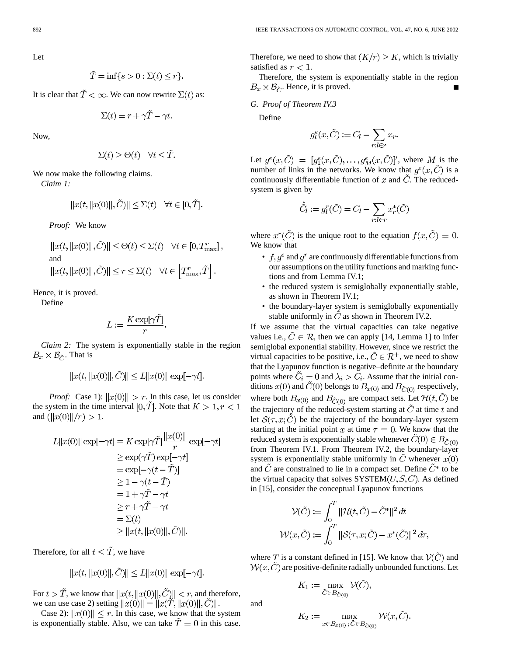$$
\tilde{T} = \inf\{s > 0 : \Sigma(t) \le r\}.
$$

It is clear that  $\tilde{T} < \infty$ . We can now rewrite  $\Sigma(t)$  as:

$$
\Sigma(t) = r + \gamma \tilde{T} - \gamma t.
$$

Now,

$$
\Sigma(t) \geq \Theta(t) \quad \forall t \leq \tilde{T}.
$$

We now make the following claims.

*Claim 1:*

$$
||x(t,||x(0)||,\tilde{C})|| \le \Sigma(t) \quad \forall t \in [0,\tilde{T}].
$$

*Proof:* We know

$$
\label{eq:21} \begin{split} &\|x(t,\|x(0)\|,\check{C})\| \leq \Theta(t) \leq \Sigma(t) \quad \forall t \in [0,T_\text{max}^r]\,,\\ &\text{and}\\ &\|x(t,\|x(0)\|,\check{C})\| \leq r \leq \Sigma(t) \quad \forall t \in \Big[T_\text{max}^r,\tilde{T}\Big]\,. \end{split}
$$

Hence, it is proved.

Define

$$
L:=\frac{K\exp[\gamma\tilde{T}]}{r}
$$

*Claim 2:* The system is exponentially stable in the region  $B_x \times B_{\tilde{C}}$ . That is

$$
||x(t,||x(0)||,\tilde{C})|| \le L||x(0)||\exp[-\gamma t].
$$

*Proof:* Case 1):  $||x(0)|| > r$ . In this case, let us consider the system in the time interval [0, T]. Note that  $K > 1, r < 1$ and  $(||x(0)||/r) > 1$ .

$$
L||x(0)|| \exp[-\gamma t] = K \exp[\gamma \tilde{T}] \frac{||x(0)||}{r} \exp[-\gamma t]
$$
  
\n
$$
\geq \exp(\gamma \tilde{T}) \exp[-\gamma t]
$$
  
\n
$$
= \exp[-\gamma (t - \tilde{T})]
$$
  
\n
$$
\geq 1 - \gamma (t - \tilde{T})
$$
  
\n
$$
= 1 + \gamma \tilde{T} - \gamma t
$$
  
\n
$$
\geq r + \gamma \tilde{T} - \gamma t
$$
  
\n
$$
= \Sigma(t)
$$
  
\n
$$
\geq ||x(t, ||x(0)||, \tilde{C})||.
$$

Therefore, for all  $t \leq \tilde{T}$ , we have

$$
||x(t,||x(0)||,\tilde{C})|| \le L||x(0)||\exp[-\gamma t].
$$

For  $t > \tilde{T}$ , we know that  $||x(t, ||x(0)||, \tilde{C})|| < r$ , and therefore, we can use case 2) setting  $||x(0)|| = ||x(T, ||x(0)||, C)||$ .

Case 2):  $||x(0)|| \le r$ . In this case, we know that the system is exponentially stable. Also, we can take  $\ddot{T} = 0$  in this case. Therefore, we need to show that  $(K/r) \geq K$ , which is trivially satisfied as  $r < 1$ .

Therefore, the system is exponentially stable in the region  $B_x \times B_{\tilde{C}}$ . Hence, it is proved.

*G. Proof of Theorem IV.3*

Define

$$
g_l^e(x, \tilde{C}) := C_l - \sum_{r:l \in r} x_r
$$

Let  $g^e(x, \tilde{C}) = [g_1^e(x, \tilde{C}), \ldots, g_M^e(x, \tilde{C})]'$ , where M is the number of links in the networks. We know that  $q^e(x, \tilde{C})$  is a continuously differentiable function of  $x$  and  $\ddot{C}$ . The reducedsystem is given by

$$
\dot{\tilde{C}}_l := g_l^r(\tilde{C}) = C_l - \sum_{r:l \in r} x_r^*(\tilde{C})
$$

where  $x^*(\tilde{C})$  is the unique root to the equation  $f(x, \tilde{C}) = 0$ . We know that

- $f, g^e$  and  $g^r$  are continuously differentiable functions from our assumptions on the utility functions and marking functions and from Lemma IV.1;
- the reduced system is semiglobally exponentially stable, as shown in Theorem IV.1;
- the boundary-layer system is semiglobally exponentially stable uniformly in  $\tilde{C}$  as shown in Theorem IV.2.

If we assume that the virtual capacities can take negative values i.e.,  $\tilde{C} \in \mathcal{R}$ , then we can apply [14, Lemma 1] to infer semiglobal exponential stability. However, since we restrict the virtual capacities to be positive, i.e.,  $\tilde{C} \in \mathcal{R}^+$ , we need to show that the Lyapunov function is negative–definite at the boundary points where  $\ddot{C}_i = 0$  and  $\lambda_i > C_i$ . Assume that the initial conditions  $x(0)$  and  $\tilde{C}(0)$  belongs to  $B_{x(0)}$  and  $B_{\tilde{C}(0)}$  respectively, where both  $B_{x(0)}$  and  $B_{\tilde{C}(0)}$  are compact sets. Let  $\mathcal{H}(t,\tilde{C})$  be the trajectory of the reduced-system starting at  $\ddot{C}$  at time t and let  $S(\tau, x; C)$  be the trajectory of the boundary-layer system starting at the initial point x at time  $\tau = 0$ . We know that the reduced system is exponentially stable whenever  $C(0) \in B_{\tilde{C}(0)}$ from Theorem IV.1. From Theorem IV.2, the boundary-layer system is exponentially stable uniformly in  $\ddot{C}$  whenever  $x(0)$ and  $\tilde{C}$  are constrained to lie in a compact set. Define  $\tilde{C}^*$  to be the virtual capacity that solves  $\text{SYSTEM}(U, S, C)$ . As defined in [15], consider the conceptual Lyapunov functions

$$
\mathcal{V}(\tilde{C}) := \int_0^T \|\mathcal{H}(t, \tilde{C}) - \tilde{C}^*\|^2 dt
$$
  

$$
\mathcal{W}(x, \tilde{C}) := \int_0^T \|\mathcal{S}(\tau, x; \tilde{C}) - x^*(\tilde{C})\|^2 d\tau,
$$

where T is a constant defined in [15]. We know that  $V(\tilde{C})$  and  $W(x, C)$  are positive-definite radially unbounded functions. Let

$$
K_1 := \max_{\tilde{C} \in B_{\tilde{C}(0)}} \mathcal{V}(\tilde{C}),
$$

and

$$
K_2 := \max_{x \in B_{x(0)}; \tilde{C} \in B_{\tilde{C}(0)}} \mathcal{W}(x, \tilde{C}).
$$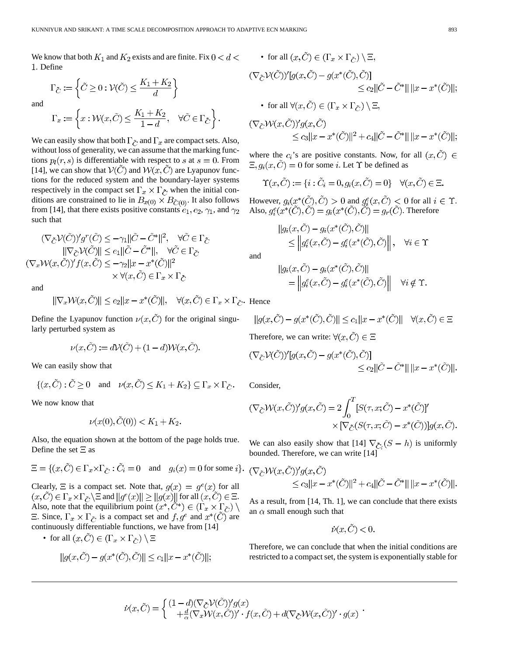We know that both  $K_1$  and  $K_2$  exists and are finite. Fix  $0 < d <$ . Define

 $\Gamma_{\tilde{C}}:=\left\{\tilde{C}\geq 0:\mathcal{V}(\tilde{C})\leq \frac{K_1+K_2}{d}\right\}$ 

and

$$
\Gamma_x:=\left\{x:\mathcal{W}(x,\tilde{C})\leq \frac{K_1+K_2}{1-d},\quad \forall \tilde{C}\in\Gamma_{\tilde{C}}\right\}.
$$

We can easily show that both  $\Gamma_{\tilde{C}}$  and  $\Gamma_x$  are compact sets. Also, without loss of generality, we can assume that the marking functions  $p_l(r, s)$  is differentiable with respect to s at  $s = 0$ . From [14], we can show that  $V(\tilde{C})$  and  $W(x, \tilde{C})$  are Lyapunov functions for the reduced system and the boundary-layer systems respectively in the compact set  $\Gamma_x \times \Gamma_{\tilde{C}}$  when the initial conditions are constrained to lie in  $B_{x(0)} \times B_{\tilde{C}(0)}$ . It also follows from [14], that there exists positive constants  $e_1, e_2, \gamma_1$ , and  $\gamma_2$ such that

$$
(\nabla_{\tilde{C}}\mathcal{V}(\tilde{C}))'g^r(\tilde{C}) \le -\gamma_1||\tilde{C} - \tilde{C}^*||^2, \quad \forall \tilde{C} \in \Gamma_{\tilde{C}}
$$
  

$$
||\nabla_{\tilde{C}}\mathcal{V}(\tilde{C})|| \le e_1||\tilde{C} - \tilde{C}^*||, \quad \forall \tilde{C} \in \Gamma_{\tilde{C}}
$$
  

$$
(\nabla_x\mathcal{W}(x,\tilde{C}))'f(x,\tilde{C}) \le -\gamma_2||x - x^*(\tilde{C})||^2
$$
  

$$
\times \forall (x,\tilde{C}) \in \Gamma_x \times \Gamma_{\tilde{C}}
$$

and

$$
|\nabla_x \mathcal{W}(x, \tilde{C})|| \leq e_2 ||x - x^*(\tilde{C})||, \quad \forall (x, \tilde{C}) \in \Gamma_x \times \Gamma_{\tilde{C}}.
$$
 Her

Define the Lyapunov function  $\nu(x, \tilde{C})$  for the original singularly perturbed system as

$$
\nu(x,\tilde{C}) := d\mathcal{V}(\tilde{C}) + (1-d)\mathcal{W}(x,\tilde{C}).
$$

We can easily show that

$$
\{(x,\tilde{C}) : \tilde{C} \ge 0 \quad \text{and} \quad \nu(x,\tilde{C}) \le K_1 + K_2\} \subseteq \Gamma_x \times \Gamma_{\tilde{C}}.
$$

We now know that

$$
\nu(x(0), \tilde{C}(0)) < K_1 + K_2.
$$

Also, the equation shown at the bottom of the page holds true. Define the set  $\Xi$  as

$$
\Xi = \{ (x, \tilde{C}) \in \Gamma_x \times \Gamma_{\tilde{C}} : \tilde{C}_i = 0 \quad \text{and} \quad g_i(x) = 0 \text{ for some } i \}.
$$

Clearly,  $\Xi$  is a compact set. Note that,  $g(x) = g^{e}(x)$  for all  $a(x, \tilde{C}) \in \Gamma_x \times \Gamma_{\tilde{C}} \backslash \Xi$  and  $||g^e(x)|| \ge ||g(x)||$  for all  $(x, \tilde{C}) \in \Xi$ . Also, note that the equilibrium point  $(x^*, \check{C}^*) \in (\Gamma_x \times \check{C}_z)$  $\Xi$ . Since,  $\Gamma_x \times \Gamma_{\tilde{C}}$  is a compact set and  $f, g^e$  and  $x^*(C)$  are continuously differentiable functions, we have from [14]

• for all 
$$
(x, \tilde{C}) \in (\Gamma_x \times \Gamma_{\tilde{C}}) \setminus \Xi
$$

$$
||g(x,\tilde{C}) - g(x^*(\tilde{C}),\tilde{C})|| \le c_1 ||x - x^*(\tilde{C})||;
$$

• for all 
$$
(x, \tilde{C}) \in (\Gamma_x \times \Gamma_{\tilde{C}}) \setminus \Xi
$$
,  
\n $(\nabla_{\tilde{C}} V(\tilde{C}))'[g(x, \tilde{C}) - g(x^*(\tilde{C}), \tilde{C})]$   
\n $\leq c_2 ||\tilde{C} - \tilde{C}^*|| ||x - x^*(\tilde{C})||$ ;  
\n• for all  $\forall (x, \tilde{C}) \in (\Gamma_x \times \Gamma_{\tilde{C}}) \setminus \Xi$ ,  
\n $(\nabla_{\tilde{C}} W(x, \tilde{C}))' g(x, \tilde{C})$   
\n $\leq c_3 ||x - x^*(\tilde{C})||^2 + c_4 ||\tilde{C} - \tilde{C}^*|| ||x - x^*(\tilde{C})||$ ;

where the  $c_i$ 's are positive constants. Now, for all  $(x, \tilde{C}) \in$  $\Xi, g_i(x, \tilde{C}) = 0$  for some *i*. Let  $\Upsilon$  be defined as

$$
\Upsilon(x,\tilde{C}) := \{ i : \tilde{C}_i = 0, g_i(x,\tilde{C}) = 0 \} \quad \forall (x,\tilde{C}) \in \Xi.
$$

However,  $g_i(x^*(\tilde{C}), \tilde{C}) > 0$  and  $g_i^e(x, \tilde{C}) < 0$  for all  $i \in \Upsilon$ . Also,  $g_i^e(x^*(\tilde{C}), \tilde{C}) = g_i(x^*(\tilde{C}), \tilde{C}) = g_r(\tilde{C})$ . Therefore

$$
|g_i(x, \tilde{C}) - g_i(x^*(\tilde{C}), \tilde{C})||
$$
  
\n
$$
\leq |g_i^e(x, \tilde{C}) - g_i^e(x^*(\tilde{C}), \tilde{C})||, \quad \forall i \in \Upsilon
$$

and

$$
||g_i(x, \tilde{C}) - g_i(x^*(\tilde{C}), \tilde{C})||
$$
  
= 
$$
||g_i^{\varepsilon}(x, \tilde{C}) - g_i^{\varepsilon}(x^*(\tilde{C}), \tilde{C})|| \quad \forall i \notin \Upsilon.
$$

ice

$$
||g(x,\tilde{C}) - g(x^*(\tilde{C}),\tilde{C})|| \le c_1 ||x - x^*(\tilde{C})|| \quad \forall (x,\tilde{C}) \in \Xi
$$

Therefore, we can write:  $\forall (x, C) \in \Xi$ 

$$
\begin{aligned} \nabla_{\tilde{C}} \mathcal{V}(\tilde{C}))'[g(x,\tilde{C}) - g(x^*(\tilde{C}),\tilde{C})] \\ \n&\leq c_2 ||\tilde{C} - \tilde{C}^*|| \, ||x - x^*(\tilde{C})||. \n\end{aligned}
$$

Consider,

$$
(\nabla_{\tilde{C}} \mathcal{W}(x, \tilde{C}))' g(x, \tilde{C}) = 2 \int_0^T [S(\tau, x; \tilde{C}) - x^*(\tilde{C})]'
$$
  
 
$$
\times [\nabla_{\tilde{C}} (S(\tau, x; \tilde{C}) - x^*(\tilde{C}))] g(x, \tilde{C}).
$$

We can also easily show that [14]  $\nabla_{\tilde{C}_i}(S - h)$  is uniformly bounded. Therefore, we can write [14]

$$
\begin{aligned} (\nabla_{\tilde{C}} \mathcal{W}(x, \tilde{C}))' g(x, \tilde{C}) \\ &\leq c_3 ||x - x^*(\tilde{C})||^2 + c_4 ||\tilde{C} - \tilde{C}^*|| \, ||x - x^*(\tilde{C})||. \end{aligned}
$$

As a result, from [14, Th. 1], we can conclude that there exists an  $\alpha$  small enough such that

$$
\dot{\nu}(x,\tilde{C})<0.
$$

Therefore, we can conclude that when the initial conditions are restricted to a compact set, the system is exponentially stable for

$$
\dot{\nu}(x,\tilde{C})=\left\{\begin{matrix} (1-d)(\nabla_{\tilde{C}}\mathcal{V}(\tilde{C}))'g(x)\\+\frac{d}{\alpha}(\nabla_x\mathcal{W}(x,\tilde{C}))'\cdot f(x,\tilde{C})+d(\nabla_{\tilde{C}}\mathcal{W}(x,\tilde{C}))'\cdot g(x)\end{matrix}\right.
$$